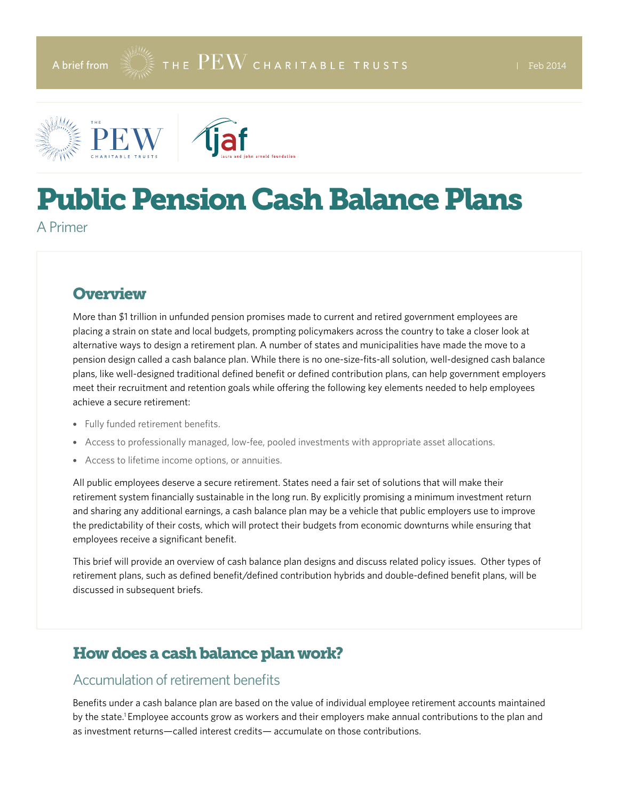



# Public Pension Cash Balance Plans

A Primer

# **Overview**

More than \$1 trillion in unfunded pension promises made to current and retired government employees are placing a strain on state and local budgets, prompting policymakers across the country to take a closer look at alternative ways to design a retirement plan. A number of states and municipalities have made the move to a pension design called a cash balance plan. While there is no one-size-fits-all solution, well-designed cash balance plans, like well-designed traditional defined benefit or defined contribution plans, can help government employers meet their recruitment and retention goals while offering the following key elements needed to help employees achieve a secure retirement:

- Fully funded retirement benefits.
- Access to professionally managed, low-fee, pooled investments with appropriate asset allocations.
- Access to lifetime income options, or annuities.

All public employees deserve a secure retirement. States need a fair set of solutions that will make their retirement system financially sustainable in the long run. By explicitly promising a minimum investment return and sharing any additional earnings, a cash balance plan may be a vehicle that public employers use to improve the predictability of their costs, which will protect their budgets from economic downturns while ensuring that employees receive a significant benefit.

This brief will provide an overview of cash balance plan designs and discuss related policy issues. Other types of retirement plans, such as defined benefit/defined contribution hybrids and double-defined benefit plans, will be discussed in subsequent briefs.

# How does a cash balance plan work?

#### Accumulation of retirement benefits

Benefits under a cash balance plan are based on the value of individual employee retirement accounts maintained by the state.1 Employee accounts grow as workers and their employers make annual contributions to the plan and as investment returns—called interest credits— accumulate on those contributions.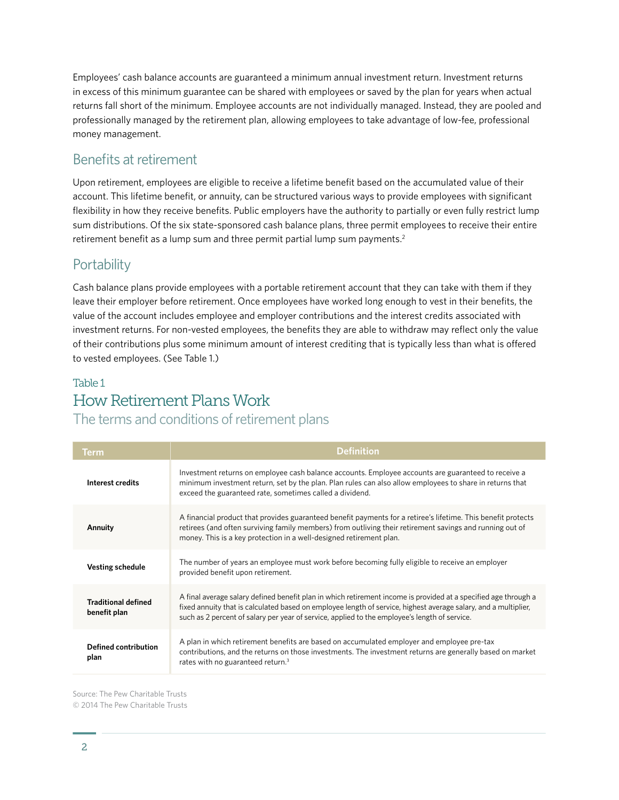Employees' cash balance accounts are guaranteed a minimum annual investment return. Investment returns in excess of this minimum guarantee can be shared with employees or saved by the plan for years when actual returns fall short of the minimum. Employee accounts are not individually managed. Instead, they are pooled and professionally managed by the retirement plan, allowing employees to take advantage of low-fee, professional money management.

#### Benefits at retirement

Upon retirement, employees are eligible to receive a lifetime benefit based on the accumulated value of their account. This lifetime benefit, or annuity, can be structured various ways to provide employees with significant flexibility in how they receive benefits. Public employers have the authority to partially or even fully restrict lump sum distributions. Of the six state-sponsored cash balance plans, three permit employees to receive their entire retirement benefit as a lump sum and three permit partial lump sum payments.<sup>2</sup>

#### **Portability**

Cash balance plans provide employees with a portable retirement account that they can take with them if they leave their employer before retirement. Once employees have worked long enough to vest in their benefits, the value of the account includes employee and employer contributions and the interest credits associated with investment returns. For non-vested employees, the benefits they are able to withdraw may reflect only the value of their contributions plus some minimum amount of interest crediting that is typically less than what is offered to vested employees. (See Table 1.)

#### Table 1 How Retirement Plans Work The terms and conditions of retirement plans

| <b>Term</b>                                | <b>Definition</b>                                                                                                                                                                                                                                                                                                                   |  |  |  |  |
|--------------------------------------------|-------------------------------------------------------------------------------------------------------------------------------------------------------------------------------------------------------------------------------------------------------------------------------------------------------------------------------------|--|--|--|--|
| Interest credits                           | Investment returns on employee cash balance accounts. Employee accounts are guaranteed to receive a<br>minimum investment return, set by the plan. Plan rules can also allow employees to share in returns that<br>exceed the guaranteed rate, sometimes called a dividend.                                                         |  |  |  |  |
| Annuity                                    | A financial product that provides guaranteed benefit payments for a retiree's lifetime. This benefit protects<br>retirees (and often surviving family members) from outliving their retirement savings and running out of<br>money. This is a key protection in a well-designed retirement plan.                                    |  |  |  |  |
| <b>Vesting schedule</b>                    | The number of years an employee must work before becoming fully eligible to receive an employer<br>provided benefit upon retirement.                                                                                                                                                                                                |  |  |  |  |
| <b>Traditional defined</b><br>benefit plan | A final average salary defined benefit plan in which retirement income is provided at a specified age through a<br>fixed annuity that is calculated based on employee length of service, highest average salary, and a multiplier,<br>such as 2 percent of salary per year of service, applied to the employee's length of service. |  |  |  |  |
| <b>Defined contribution</b><br>plan        | A plan in which retirement benefits are based on accumulated employer and employee pre-tax<br>contributions, and the returns on those investments. The investment returns are generally based on market<br>rates with no guaranteed return. <sup>3</sup>                                                                            |  |  |  |  |

Source: The Pew Charitable Trusts

© 2014 The Pew Charitable Trusts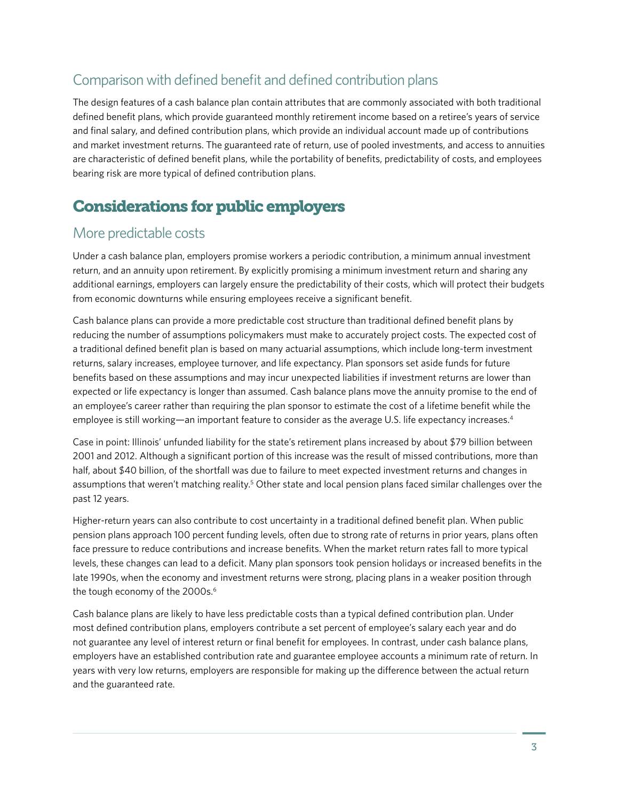# Comparison with defined benefit and defined contribution plans

The design features of a cash balance plan contain attributes that are commonly associated with both traditional defined benefit plans, which provide guaranteed monthly retirement income based on a retiree's years of service and final salary, and defined contribution plans, which provide an individual account made up of contributions and market investment returns. The guaranteed rate of return, use of pooled investments, and access to annuities are characteristic of defined benefit plans, while the portability of benefits, predictability of costs, and employees bearing risk are more typical of defined contribution plans.

# Considerations for public employers

#### More predictable costs

Under a cash balance plan, employers promise workers a periodic contribution, a minimum annual investment return, and an annuity upon retirement. By explicitly promising a minimum investment return and sharing any additional earnings, employers can largely ensure the predictability of their costs, which will protect their budgets from economic downturns while ensuring employees receive a significant benefit.

Cash balance plans can provide a more predictable cost structure than traditional defined benefit plans by reducing the number of assumptions policymakers must make to accurately project costs. The expected cost of a traditional defined benefit plan is based on many actuarial assumptions, which include long-term investment returns, salary increases, employee turnover, and life expectancy. Plan sponsors set aside funds for future benefits based on these assumptions and may incur unexpected liabilities if investment returns are lower than expected or life expectancy is longer than assumed. Cash balance plans move the annuity promise to the end of an employee's career rather than requiring the plan sponsor to estimate the cost of a lifetime benefit while the employee is still working—an important feature to consider as the average U.S. life expectancy increases.<sup>4</sup>

Case in point: Illinois' unfunded liability for the state's retirement plans increased by about \$79 billion between 2001 and 2012. Although a significant portion of this increase was the result of missed contributions, more than half, about \$40 billion, of the shortfall was due to failure to meet expected investment returns and changes in assumptions that weren't matching reality.<sup>5</sup> Other state and local pension plans faced similar challenges over the past 12 years.

Higher-return years can also contribute to cost uncertainty in a traditional defined benefit plan. When public pension plans approach 100 percent funding levels, often due to strong rate of returns in prior years, plans often face pressure to reduce contributions and increase benefits. When the market return rates fall to more typical levels, these changes can lead to a deficit. Many plan sponsors took pension holidays or increased benefits in the late 1990s, when the economy and investment returns were strong, placing plans in a weaker position through the tough economy of the 2000s.<sup>6</sup>

Cash balance plans are likely to have less predictable costs than a typical defined contribution plan. Under most defined contribution plans, employers contribute a set percent of employee's salary each year and do not guarantee any level of interest return or final benefit for employees. In contrast, under cash balance plans, employers have an established contribution rate and guarantee employee accounts a minimum rate of return. In years with very low returns, employers are responsible for making up the difference between the actual return and the guaranteed rate.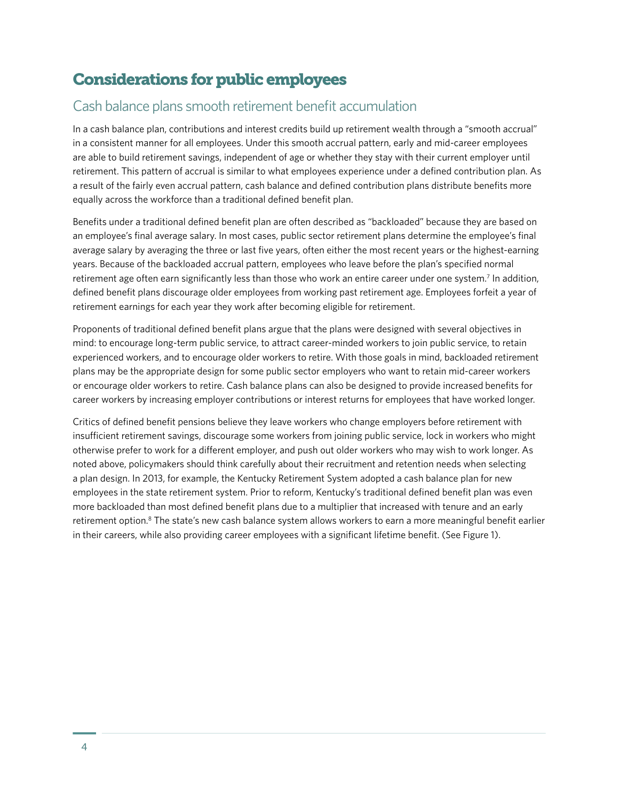# Considerations for public employees

# Cash balance plans smooth retirement benefit accumulation

In a cash balance plan, contributions and interest credits build up retirement wealth through a "smooth accrual" in a consistent manner for all employees. Under this smooth accrual pattern, early and mid-career employees are able to build retirement savings, independent of age or whether they stay with their current employer until retirement. This pattern of accrual is similar to what employees experience under a defined contribution plan. As a result of the fairly even accrual pattern, cash balance and defined contribution plans distribute benefits more equally across the workforce than a traditional defined benefit plan.

Benefits under a traditional defined benefit plan are often described as "backloaded" because they are based on an employee's final average salary. In most cases, public sector retirement plans determine the employee's final average salary by averaging the three or last five years, often either the most recent years or the highest-earning years. Because of the backloaded accrual pattern, employees who leave before the plan's specified normal retirement age often earn significantly less than those who work an entire career under one system.<sup>7</sup> In addition, defined benefit plans discourage older employees from working past retirement age. Employees forfeit a year of retirement earnings for each year they work after becoming eligible for retirement.

Proponents of traditional defined benefit plans argue that the plans were designed with several objectives in mind: to encourage long-term public service, to attract career-minded workers to join public service, to retain experienced workers, and to encourage older workers to retire. With those goals in mind, backloaded retirement plans may be the appropriate design for some public sector employers who want to retain mid-career workers or encourage older workers to retire. Cash balance plans can also be designed to provide increased benefits for career workers by increasing employer contributions or interest returns for employees that have worked longer.

Critics of defined benefit pensions believe they leave workers who change employers before retirement with insufficient retirement savings, discourage some workers from joining public service, lock in workers who might otherwise prefer to work for a different employer, and push out older workers who may wish to work longer. As noted above, policymakers should think carefully about their recruitment and retention needs when selecting a plan design. In 2013, for example, the Kentucky Retirement System adopted a cash balance plan for new employees in the state retirement system. Prior to reform, Kentucky's traditional defined benefit plan was even more backloaded than most defined benefit plans due to a multiplier that increased with tenure and an early retirement option.<sup>8</sup> The state's new cash balance system allows workers to earn a more meaningful benefit earlier in their careers, while also providing career employees with a significant lifetime benefit. (See Figure 1).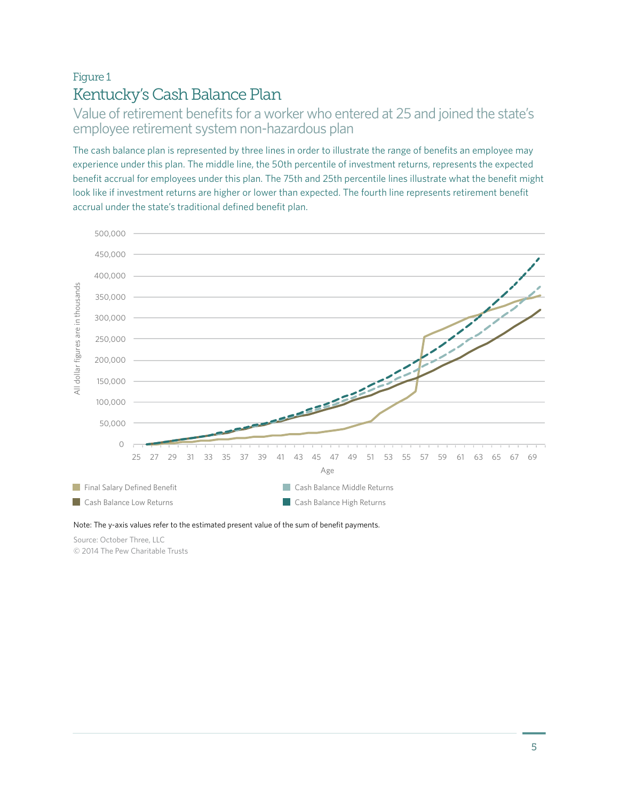# Figure 1 Kentucky's Cash Balance Plan

Value of retirement benefits for a worker who entered at 25 and joined the state's employee retirement system non-hazardous plan

The cash balance plan is represented by three lines in order to illustrate the range of benefits an employee may experience under this plan. The middle line, the 50th percentile of investment returns, represents the expected benefit accrual for employees under this plan. The 75th and 25th percentile lines illustrate what the benefit might look like if investment returns are higher or lower than expected. The fourth line represents retirement benefit accrual under the state's traditional defined benefit plan.



Note: The y-axis values refer to the estimated present value of the sum of benefit payments.

Source: October Three, LLC © 2014 The Pew Charitable Trusts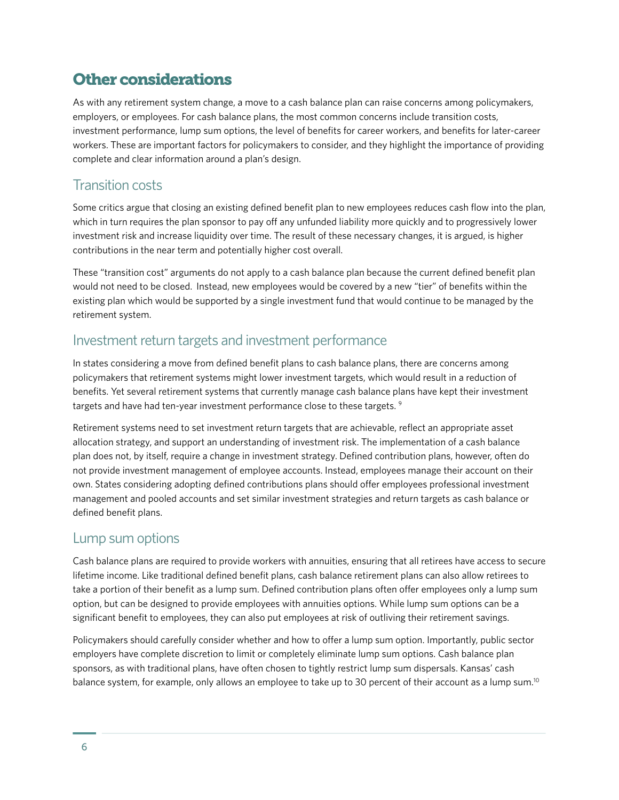# Other considerations

As with any retirement system change, a move to a cash balance plan can raise concerns among policymakers, employers, or employees. For cash balance plans, the most common concerns include transition costs, investment performance, lump sum options, the level of benefits for career workers, and benefits for later-career workers. These are important factors for policymakers to consider, and they highlight the importance of providing complete and clear information around a plan's design.

### Transition costs

Some critics argue that closing an existing defined benefit plan to new employees reduces cash flow into the plan, which in turn requires the plan sponsor to pay off any unfunded liability more quickly and to progressively lower investment risk and increase liquidity over time. The result of these necessary changes, it is argued, is higher contributions in the near term and potentially higher cost overall.

These "transition cost" arguments do not apply to a cash balance plan because the current defined benefit plan would not need to be closed. Instead, new employees would be covered by a new "tier" of benefits within the existing plan which would be supported by a single investment fund that would continue to be managed by the retirement system.

#### Investment return targets and investment performance

In states considering a move from defined benefit plans to cash balance plans, there are concerns among policymakers that retirement systems might lower investment targets, which would result in a reduction of benefits. Yet several retirement systems that currently manage cash balance plans have kept their investment targets and have had ten-year investment performance close to these targets.<sup>9</sup>

Retirement systems need to set investment return targets that are achievable, reflect an appropriate asset allocation strategy, and support an understanding of investment risk. The implementation of a cash balance plan does not, by itself, require a change in investment strategy. Defined contribution plans, however, often do not provide investment management of employee accounts. Instead, employees manage their account on their own. States considering adopting defined contributions plans should offer employees professional investment management and pooled accounts and set similar investment strategies and return targets as cash balance or defined benefit plans.

#### Lump sum options

Cash balance plans are required to provide workers with annuities, ensuring that all retirees have access to secure lifetime income. Like traditional defined benefit plans, cash balance retirement plans can also allow retirees to take a portion of their benefit as a lump sum. Defined contribution plans often offer employees only a lump sum option, but can be designed to provide employees with annuities options. While lump sum options can be a significant benefit to employees, they can also put employees at risk of outliving their retirement savings.

Policymakers should carefully consider whether and how to offer a lump sum option. Importantly, public sector employers have complete discretion to limit or completely eliminate lump sum options. Cash balance plan sponsors, as with traditional plans, have often chosen to tightly restrict lump sum dispersals. Kansas' cash balance system, for example, only allows an employee to take up to 30 percent of their account as a lump sum.<sup>10</sup>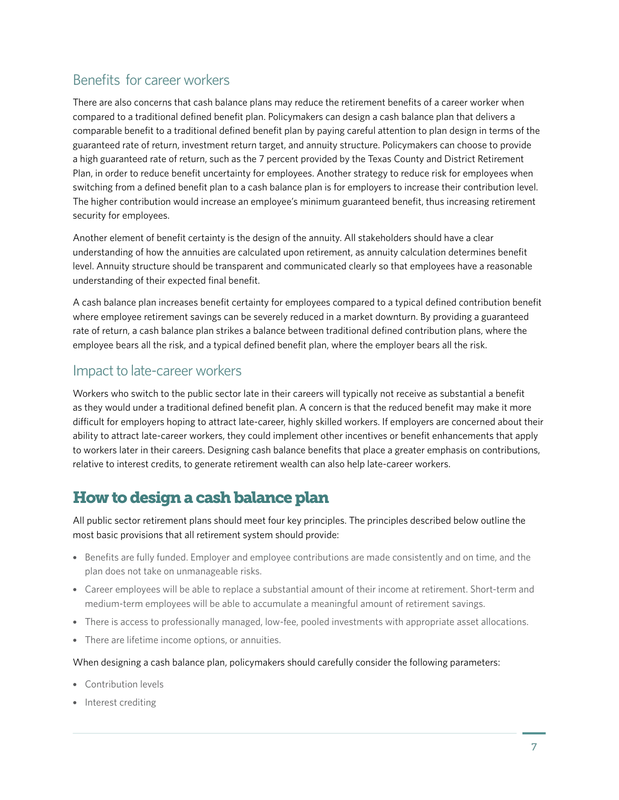# Benefits for career workers

There are also concerns that cash balance plans may reduce the retirement benefits of a career worker when compared to a traditional defined benefit plan. Policymakers can design a cash balance plan that delivers a comparable benefit to a traditional defined benefit plan by paying careful attention to plan design in terms of the guaranteed rate of return, investment return target, and annuity structure. Policymakers can choose to provide a high guaranteed rate of return, such as the 7 percent provided by the Texas County and District Retirement Plan, in order to reduce benefit uncertainty for employees. Another strategy to reduce risk for employees when switching from a defined benefit plan to a cash balance plan is for employers to increase their contribution level. The higher contribution would increase an employee's minimum guaranteed benefit, thus increasing retirement security for employees.

Another element of benefit certainty is the design of the annuity. All stakeholders should have a clear understanding of how the annuities are calculated upon retirement, as annuity calculation determines benefit level. Annuity structure should be transparent and communicated clearly so that employees have a reasonable understanding of their expected final benefit.

A cash balance plan increases benefit certainty for employees compared to a typical defined contribution benefit where employee retirement savings can be severely reduced in a market downturn. By providing a guaranteed rate of return, a cash balance plan strikes a balance between traditional defined contribution plans, where the employee bears all the risk, and a typical defined benefit plan, where the employer bears all the risk.

#### Impact to late-career workers

Workers who switch to the public sector late in their careers will typically not receive as substantial a benefit as they would under a traditional defined benefit plan. A concern is that the reduced benefit may make it more difficult for employers hoping to attract late-career, highly skilled workers. If employers are concerned about their ability to attract late-career workers, they could implement other incentives or benefit enhancements that apply to workers later in their careers. Designing cash balance benefits that place a greater emphasis on contributions, relative to interest credits, to generate retirement wealth can also help late-career workers.

# How to design a cash balance plan

All public sector retirement plans should meet four key principles. The principles described below outline the most basic provisions that all retirement system should provide:

- Benefits are fully funded. Employer and employee contributions are made consistently and on time, and the plan does not take on unmanageable risks.
- Career employees will be able to replace a substantial amount of their income at retirement. Short-term and medium-term employees will be able to accumulate a meaningful amount of retirement savings.
- There is access to professionally managed, low-fee, pooled investments with appropriate asset allocations.
- There are lifetime income options, or annuities.

#### When designing a cash balance plan, policymakers should carefully consider the following parameters:

- Contribution levels
- Interest crediting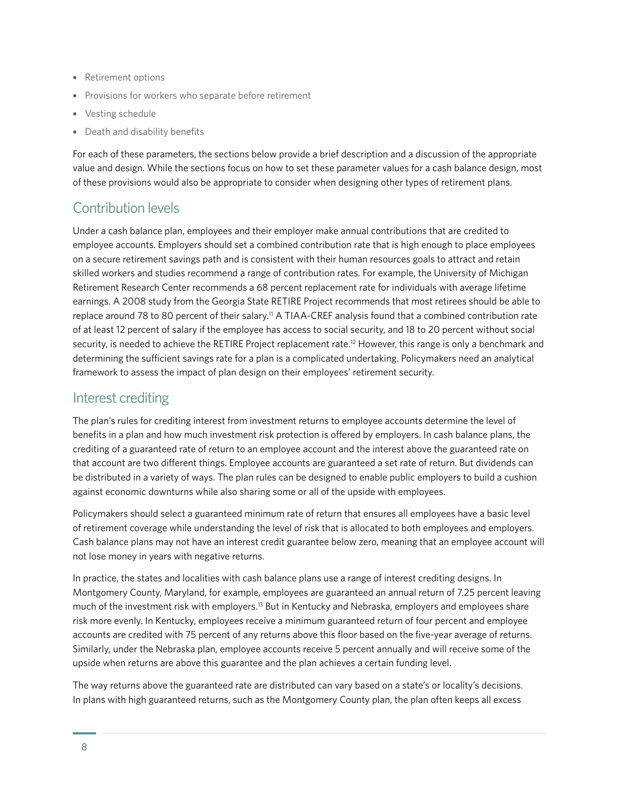- Retirement options
- Provisions for workers who separate before retirement
- Vesting schedule
- Death and disability benefits

For each of these parameters, the sections below provide a brief description and a discussion of the appropriate value and design. While the sections focus on how to set these parameter values for a cash balance design, most of these provisions would also be appropriate to consider when designing other types of retirement plans.

# Contribution levels

Under a cash balance plan, employees and their employer make annual contributions that are credited to employee accounts. Employers should set a combined contribution rate that is high enough to place employees on a secure retirement savings path and is consistent with their human resources goals to attract and retain skilled workers and studies recommend a range of contribution rates. For example, the University of Michigan Retirement Research Center recommends a 68 percent replacement rate for individuals with average lifetime earnings. A 2008 study from the Georgia State RETIRE Project recommends that most retirees should be able to replace around 78 to 80 percent of their salary.<sup>11</sup> A TIAA-CREF analysis found that a combined contribution rate of at least 12 percent of salary if the employee has access to social security, and 18 to 20 percent without social security, is needed to achieve the RETIRE Project replacement rate.<sup>12</sup> However, this range is only a benchmark and determining the sufficient savings rate for a plan is a complicated undertaking. Policymakers need an analytical framework to assess the impact of plan design on their employees' retirement security.

#### Interest crediting

The plan's rules for crediting interest from investment returns to employee accounts determine the level of benefits in a plan and how much investment risk protection is offered by employers. In cash balance plans, the crediting of a guaranteed rate of return to an employee account and the interest above the guaranteed rate on that account are two different things. Employee accounts are guaranteed a set rate of return. But dividends can be distributed in a variety of ways. The plan rules can be designed to enable public employers to build a cushion against economic downturns while also sharing some or all of the upside with employees.

Policymakers should select a guaranteed minimum rate of return that ensures all employees have a basic level of retirement coverage while understanding the level of risk that is allocated to both employees and employers. Cash balance plans may not have an interest credit guarantee below zero, meaning that an employee account will not lose money in years with negative returns.

In practice, the states and localities with cash balance plans use a range of interest crediting designs. In Montgomery County, Maryland, for example, employees are guaranteed an annual return of 7.25 percent leaving much of the investment risk with employers.<sup>13</sup> But in Kentucky and Nebraska, employers and employees share risk more evenly. In Kentucky, employees receive a minimum guaranteed return of four percent and employee accounts are credited with 75 percent of any returns above this floor based on the five-year average of returns. Similarly, under the Nebraska plan, employee accounts receive 5 percent annually and will receive some of the upside when returns are above this guarantee and the plan achieves a certain funding level.

The way returns above the guaranteed rate are distributed can vary based on a state's or locality's decisions. In plans with high guaranteed returns, such as the Montgomery County plan, the plan often keeps all excess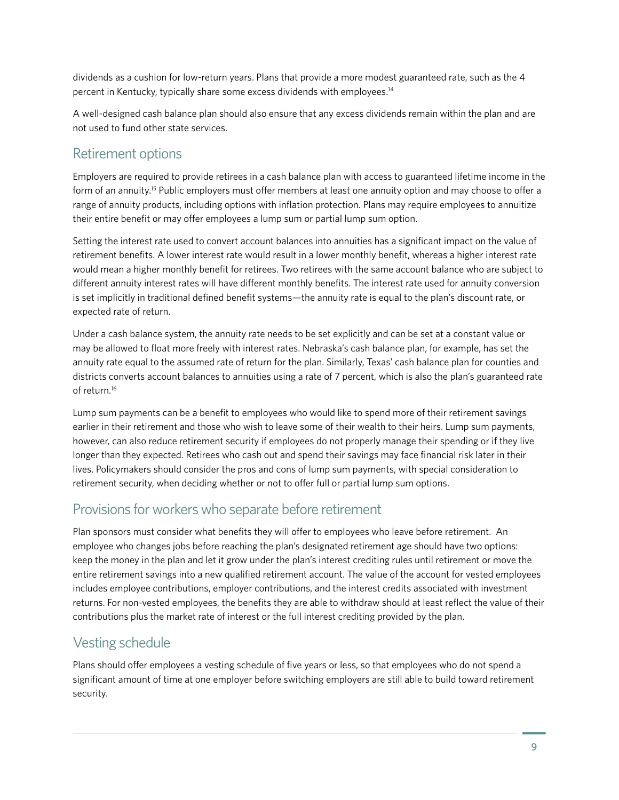dividends as a cushion for low-return years. Plans that provide a more modest guaranteed rate, such as the 4 percent in Kentucky, typically share some excess dividends with employees.14

A well-designed cash balance plan should also ensure that any excess dividends remain within the plan and are not used to fund other state services.

#### Retirement options

Employers are required to provide retirees in a cash balance plan with access to guaranteed lifetime income in the form of an annuity.15 Public employers must offer members at least one annuity option and may choose to offer a range of annuity products, including options with inflation protection. Plans may require employees to annuitize their entire benefit or may offer employees a lump sum or partial lump sum option.

Setting the interest rate used to convert account balances into annuities has a significant impact on the value of retirement benefits. A lower interest rate would result in a lower monthly benefit, whereas a higher interest rate would mean a higher monthly benefit for retirees. Two retirees with the same account balance who are subject to different annuity interest rates will have different monthly benefits. The interest rate used for annuity conversion is set implicitly in traditional defined benefit systems—the annuity rate is equal to the plan's discount rate, or expected rate of return.

Under a cash balance system, the annuity rate needs to be set explicitly and can be set at a constant value or may be allowed to float more freely with interest rates. Nebraska's cash balance plan, for example, has set the annuity rate equal to the assumed rate of return for the plan. Similarly, Texas' cash balance plan for counties and districts converts account balances to annuities using a rate of 7 percent, which is also the plan's guaranteed rate of return.<sup>16</sup>

Lump sum payments can be a benefit to employees who would like to spend more of their retirement savings earlier in their retirement and those who wish to leave some of their wealth to their heirs. Lump sum payments, however, can also reduce retirement security if employees do not properly manage their spending or if they live longer than they expected. Retirees who cash out and spend their savings may face financial risk later in their lives. Policymakers should consider the pros and cons of lump sum payments, with special consideration to retirement security, when deciding whether or not to offer full or partial lump sum options.

# Provisions for workers who separate before retirement

Plan sponsors must consider what benefits they will offer to employees who leave before retirement. An employee who changes jobs before reaching the plan's designated retirement age should have two options: keep the money in the plan and let it grow under the plan's interest crediting rules until retirement or move the entire retirement savings into a new qualified retirement account. The value of the account for vested employees includes employee contributions, employer contributions, and the interest credits associated with investment returns. For non-vested employees, the benefits they are able to withdraw should at least reflect the value of their contributions plus the market rate of interest or the full interest crediting provided by the plan.

# Vesting schedule

Plans should offer employees a vesting schedule of five years or less, so that employees who do not spend a significant amount of time at one employer before switching employers are still able to build toward retirement security.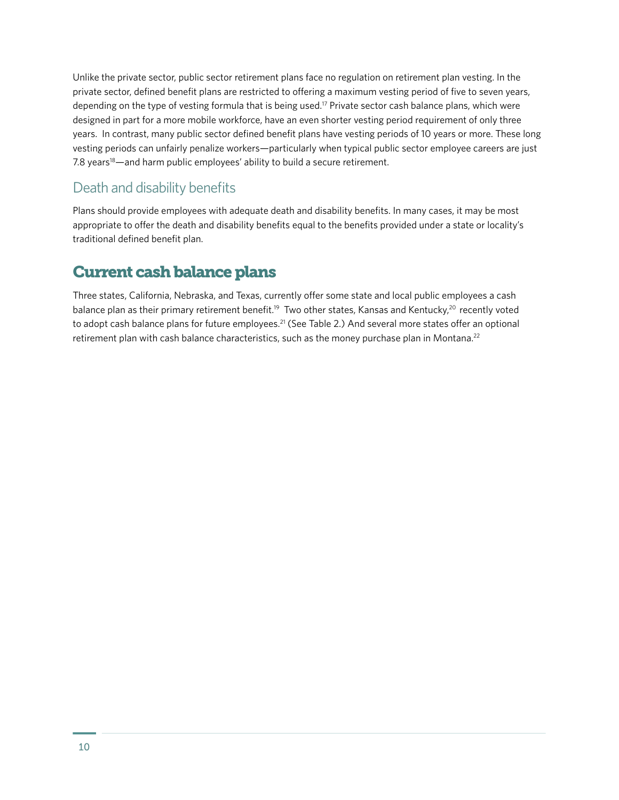Unlike the private sector, public sector retirement plans face no regulation on retirement plan vesting. In the private sector, defined benefit plans are restricted to offering a maximum vesting period of five to seven years, depending on the type of vesting formula that is being used.<sup>17</sup> Private sector cash balance plans, which were designed in part for a more mobile workforce, have an even shorter vesting period requirement of only three years. In contrast, many public sector defined benefit plans have vesting periods of 10 years or more. These long vesting periods can unfairly penalize workers—particularly when typical public sector employee careers are just 7.8 years<sup>18</sup>—and harm public employees' ability to build a secure retirement.

# Death and disability benefits

Plans should provide employees with adequate death and disability benefits. In many cases, it may be most appropriate to offer the death and disability benefits equal to the benefits provided under a state or locality's traditional defined benefit plan.

# Current cash balance plans

Three states, California, Nebraska, and Texas, currently offer some state and local public employees a cash balance plan as their primary retirement benefit.<sup>19</sup> Two other states, Kansas and Kentucky,<sup>20</sup> recently voted to adopt cash balance plans for future employees.<sup>21</sup> (See Table 2.) And several more states offer an optional retirement plan with cash balance characteristics, such as the money purchase plan in Montana.<sup>22</sup>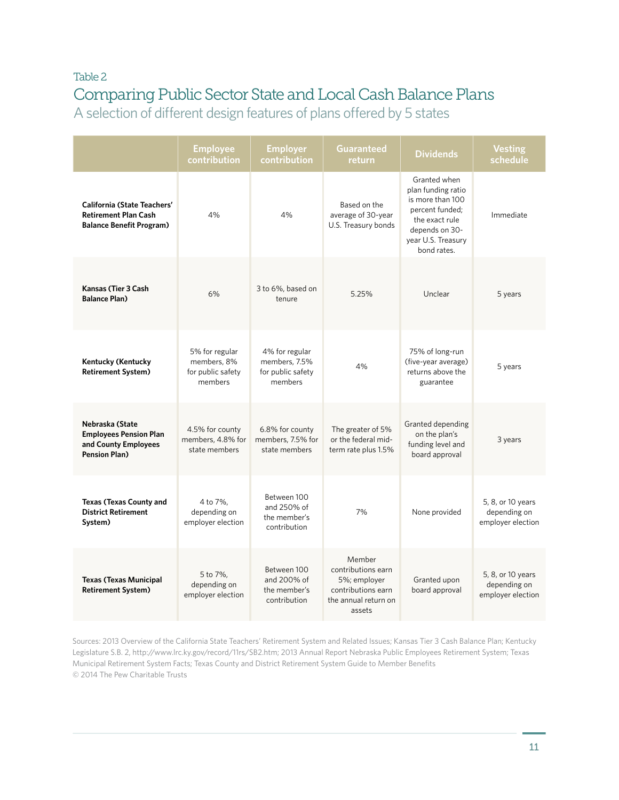# Table 2 Comparing Public Sector State and Local Cash Balance Plans

A selection of different design features of plans offered by 5 states

|                                                                                                      | <b>Employee</b><br>contribution                               | <b>Employer</b><br>contribution                                 | Guaranteed<br>return                                                                                 | <b>Dividends</b>                                                                                                                                   | <b>Vesting</b><br>schedule                             |
|------------------------------------------------------------------------------------------------------|---------------------------------------------------------------|-----------------------------------------------------------------|------------------------------------------------------------------------------------------------------|----------------------------------------------------------------------------------------------------------------------------------------------------|--------------------------------------------------------|
| <b>California (State Teachers'</b><br><b>Retirement Plan Cash</b><br><b>Balance Benefit Program)</b> | 4%                                                            | 4%                                                              | Based on the<br>average of 30-year<br>U.S. Treasury bonds                                            | Granted when<br>plan funding ratio<br>is more than 100<br>percent funded;<br>the exact rule<br>depends on 30-<br>year U.S. Treasury<br>bond rates. | Immediate                                              |
| Kansas (Tier 3 Cash<br><b>Balance Plan)</b>                                                          | 6%                                                            | 3 to 6%, based on<br>tenure                                     | 5.25%                                                                                                | Unclear                                                                                                                                            | 5 years                                                |
| <b>Kentucky (Kentucky</b><br><b>Retirement System)</b>                                               | 5% for regular<br>members, 8%<br>for public safety<br>members | 4% for regular<br>members, 7.5%<br>for public safety<br>members | 4%                                                                                                   | 75% of long-run<br>(five-year average)<br>returns above the<br>guarantee                                                                           | 5 years                                                |
| Nebraska (State<br><b>Employees Pension Plan</b><br>and County Employees<br><b>Pension Plan)</b>     | 4.5% for county<br>members, 4.8% for<br>state members         | 6.8% for county<br>members, 7.5% for<br>state members           | The greater of 5%<br>or the federal mid-<br>term rate plus 1.5%                                      | Granted depending<br>on the plan's<br>funding level and<br>board approval                                                                          | 3 years                                                |
| <b>Texas (Texas County and</b><br><b>District Retirement</b><br>System)                              | 4 to 7%,<br>depending on<br>employer election                 | Between 100<br>and 250% of<br>the member's<br>contribution      | 7%                                                                                                   | None provided                                                                                                                                      | 5, 8, or 10 years<br>depending on<br>employer election |
| <b>Texas (Texas Municipal</b><br><b>Retirement System)</b>                                           | 5 to 7%,<br>depending on<br>employer election                 | Between 100<br>and 200% of<br>the member's<br>contribution      | Member<br>contributions earn<br>5%; employer<br>contributions earn<br>the annual return on<br>assets | Granted upon<br>board approval                                                                                                                     | 5, 8, or 10 years<br>depending on<br>employer election |

Sources: 2013 Overview of the California State Teachers' Retirement System and Related Issues; Kansas Tier 3 Cash Balance Plan; Kentucky Legislature S.B. 2,<http://www.lrc.ky.gov/record/11rs/SB2.htm>; 2013 Annual Report Nebraska Public Employees Retirement System; Texas Municipal Retirement System Facts; Texas County and District Retirement System Guide to Member Benefits © 2014 The Pew Charitable Trusts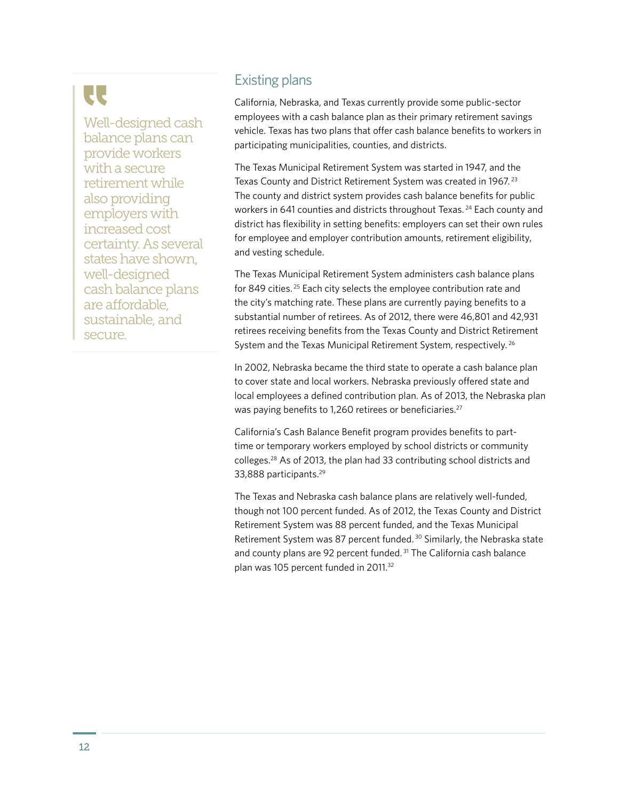Well-designed cash balance plans can provide workers with a secure retirement while also providing employers with increased cost certainty. As several states have shown, well-designed cash balance plans are affordable, sustainable, and secure.

### Existing plans

California, Nebraska, and Texas currently provide some public-sector employees with a cash balance plan as their primary retirement savings vehicle. Texas has two plans that offer cash balance benefits to workers in participating municipalities, counties, and districts.

The Texas Municipal Retirement System was started in 1947, and the Texas County and District Retirement System was created in 1967.<sup>23</sup> The county and district system provides cash balance benefits for public workers in 641 counties and districts throughout Texas.<sup>24</sup> Each county and district has flexibility in setting benefits: employers can set their own rules for employee and employer contribution amounts, retirement eligibility, and vesting schedule.

The Texas Municipal Retirement System administers cash balance plans for 849 cities. 25 Each city selects the employee contribution rate and the city's matching rate. These plans are currently paying benefits to a substantial number of retirees. As of 2012, there were 46,801 and 42,931 retirees receiving benefits from the Texas County and District Retirement System and the Texas Municipal Retirement System, respectively.<sup>26</sup>

In 2002, Nebraska became the third state to operate a cash balance plan to cover state and local workers. Nebraska previously offered state and local employees a defined contribution plan. As of 2013, the Nebraska plan was paying benefits to 1,260 retirees or beneficiaries.<sup>27</sup>

California's Cash Balance Benefit program provides benefits to parttime or temporary workers employed by school districts or community colleges.28 As of 2013, the plan had 33 contributing school districts and 33,888 participants.29

The Texas and Nebraska cash balance plans are relatively well-funded, though not 100 percent funded. As of 2012, the Texas County and District Retirement System was 88 percent funded, and the Texas Municipal Retirement System was 87 percent funded.<sup>30</sup> Similarly, the Nebraska state and county plans are 92 percent funded.<sup>31</sup> The California cash balance plan was 105 percent funded in 2011.<sup>32</sup>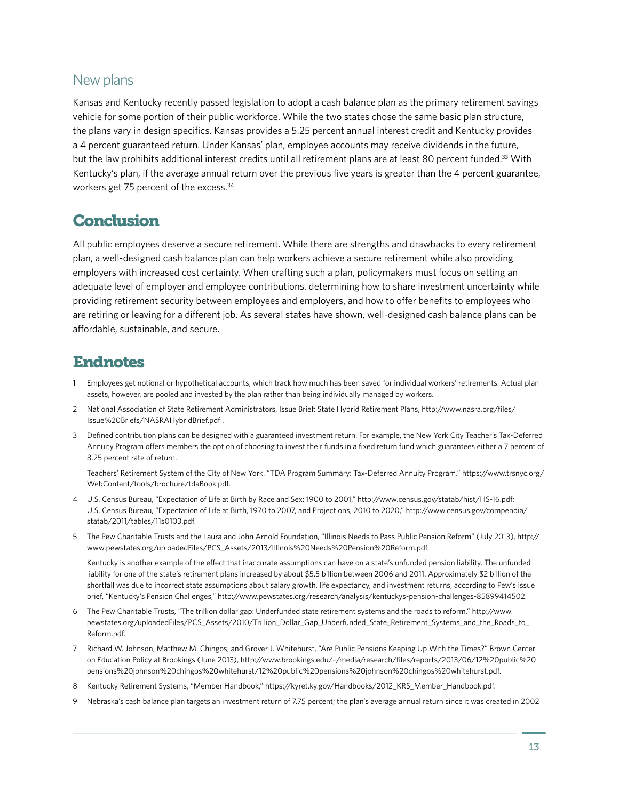#### New plans

Kansas and Kentucky recently passed legislation to adopt a cash balance plan as the primary retirement savings vehicle for some portion of their public workforce. While the two states chose the same basic plan structure, the plans vary in design specifics. Kansas provides a 5.25 percent annual interest credit and Kentucky provides a 4 percent guaranteed return. Under Kansas' plan, employee accounts may receive dividends in the future, but the law prohibits additional interest credits until all retirement plans are at least 80 percent funded.33 With Kentucky's plan, if the average annual return over the previous five years is greater than the 4 percent guarantee, workers get 75 percent of the excess.34

# **Conclusion**

All public employees deserve a secure retirement. While there are strengths and drawbacks to every retirement plan, a well-designed cash balance plan can help workers achieve a secure retirement while also providing employers with increased cost certainty. When crafting such a plan, policymakers must focus on setting an adequate level of employer and employee contributions, determining how to share investment uncertainty while providing retirement security between employees and employers, and how to offer benefits to employees who are retiring or leaving for a different job. As several states have shown, well-designed cash balance plans can be affordable, sustainable, and secure.

# Endnotes

- 1 Employees get notional or hypothetical accounts, which track how much has been saved for individual workers' retirements. Actual plan assets, however, are pooled and invested by the plan rather than being individually managed by workers.
- 2 National Association of State Retirement Administrators, Issue Brief: State Hybrid Retirement Plans, [http://www.nasra.org/files/](http://www.nasra.org/files/Issue) [Issue](http://www.nasra.org/files/Issue)%20Briefs[/NASRAHybridBrief.pdf](NASRAHybridBrief.pdf) .
- 3 Defined contribution plans can be designed with a guaranteed investment return. For example, the New York City Teacher's Tax-Deferred Annuity Program offers members the option of choosing to invest their funds in a fixed return fund which guarantees either a 7 percent of 8.25 percent rate of return.

 Teachers' Retirement System of the City of New York. "TDA Program Summary: Tax-Deferred Annuity Program." [https://www.trsnyc.org/](https://www.trsnyc.org/WebContent/tools/brochure/tdaBook.pdf) [WebContent/tools/brochure/tdaBook.pdf](https://www.trsnyc.org/WebContent/tools/brochure/tdaBook.pdf).

- 4 U.S. Census Bureau, "Expectation of Life at Birth by Race and Sex: 1900 to 2001," <http://www.census.gov/statab/hist/HS-16.pdf>; U.S. Census Bureau, "Expectation of Life at Birth, 1970 to 2007, and Projections, 2010 to 2020," [http://www.census.gov/compendia/](http://www.census.gov/compendia/statab/2011/tables/11s0103.pdf) [statab/2011/tables/11s0103.pdf](http://www.census.gov/compendia/statab/2011/tables/11s0103.pdf).
- 5 The Pew Charitable Trusts and the Laura and John Arnold Foundation, "Illinois Needs to Pass Public Pension Reform" (July 2013), [http://](http://www.pewstates.org/uploadedFiles/PCS_Assets/2013/Illinois%20Needs%20Pension%20Reform.pdf) [www.pewstates.org/uploadedFiles/PCS\\_Assets/2013/Illinois%20Needs%20Pension%20Reform.pdf.](http://www.pewstates.org/uploadedFiles/PCS_Assets/2013/Illinois%20Needs%20Pension%20Reform.pdf)

 Kentucky is another example of the effect that inaccurate assumptions can have on a state's unfunded pension liability. The unfunded liability for one of the state's retirement plans increased by about \$5.5 billion between 2006 and 2011. Approximately \$2 billion of the shortfall was due to incorrect state assumptions about salary growth, life expectancy, and investment returns, according to Pew's issue brief, "Kentucky's Pension Challenges," [http://www.pewstates.org/research/analysis/kentuckys-pension-challenges-85899414502.](http://www.pewstates.org/research/analysis/kentuckys-pension-challenges-85899414502)

- 6 The Pew Charitable Trusts, "The trillion dollar gap: Underfunded state retirement systems and the roads to reform." [http://www.](http://www.pewstates.org/uploadedFiles/PCS_Assets/2010/Trillion_Dollar_Gap_Underfunded_State_Retirement_Systems_and_the_Roads_to_Reform.pdf) [pewstates.org/uploadedFiles/PCS\\_Assets/2010/Trillion\\_Dollar\\_Gap\\_Underfunded\\_State\\_Retirement\\_Systems\\_and\\_the\\_Roads\\_to\\_](http://www.pewstates.org/uploadedFiles/PCS_Assets/2010/Trillion_Dollar_Gap_Underfunded_State_Retirement_Systems_and_the_Roads_to_Reform.pdf) [Reform.pdf.](http://www.pewstates.org/uploadedFiles/PCS_Assets/2010/Trillion_Dollar_Gap_Underfunded_State_Retirement_Systems_and_the_Roads_to_Reform.pdf)
- 7 Richard W. Johnson, Matthew M. Chingos, and Grover J. Whitehurst, "Are Public Pensions Keeping Up With the Times?" Brown Center on Education Policy at Brookings (June 2013), [http://www.brookings.edu/~/media/research/files/reports/2013/06/12%20public%20](http://www.brookings.edu/~/media/research/files/reports/2013/06/12%20public%20pensions%20johnson%20chingos%20whitehurst/12%20public%20pensions%20johnson%20chingos%20whitehurst.pdf) [pensions%20johnson%20chingos%20whitehurst/12%20public%20pensions%20johnson%20chingos%20whitehurst.pdf](http://www.brookings.edu/~/media/research/files/reports/2013/06/12%20public%20pensions%20johnson%20chingos%20whitehurst/12%20public%20pensions%20johnson%20chingos%20whitehurst.pdf).
- 8 Kentucky Retirement Systems, "Member Handbook," [https://kyret.ky.gov/Handbooks/2012\\_KRS\\_Member\\_Handbook.pdf.](https://kyret.ky.gov/Handbooks/2012_KRS_Member_Handbook.pdf)
- 9 Nebraska's cash balance plan targets an investment return of 7.75 percent; the plan's average annual return since it was created in 2002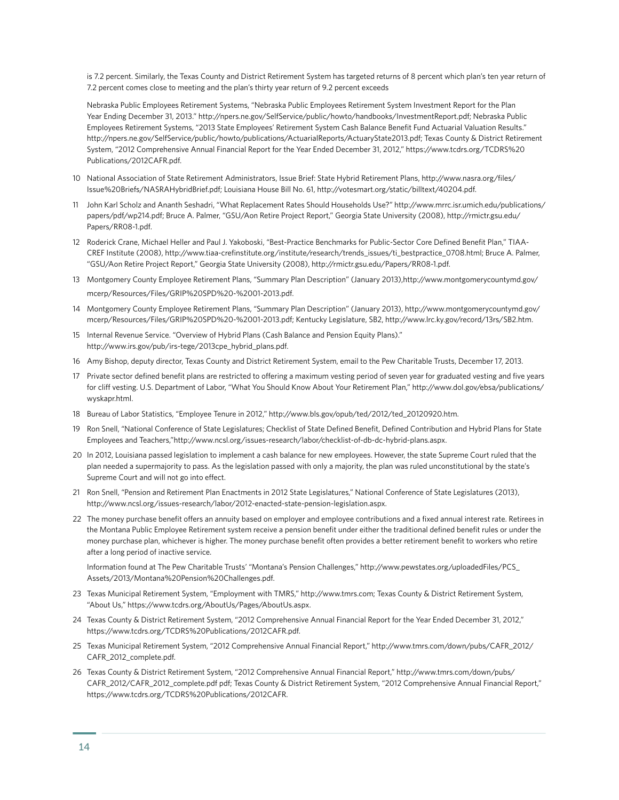is 7.2 percent. Similarly, the Texas County and District Retirement System has targeted returns of 8 percent which plan's ten year return of 7.2 percent comes close to meeting and the plan's thirty year return of 9.2 percent exceeds

 Nebraska Public Employees Retirement Systems, "Nebraska Public Employees Retirement System Investment Report for the Plan Year Ending December 31, 2013." [http://npers.ne.gov/SelfService/public/howto/handbooks/InvestmentReport.pdf;](http://npers.ne.gov/SelfService/public/howto/handbooks/InvestmentReport.pdf) Nebraska Public Employees Retirement Systems, "2013 State Employees' Retirement System Cash Balance Benefit Fund Actuarial Valuation Results." <http://npers.ne.gov/SelfService/public/howto/publications/ActuarialReports/ActuaryState2013.pdf>; Texas County & District Retirement System, "2012 Comprehensive Annual Financial Report for the Year Ended December 31, 2012," [https://www.tcdrs.org/TCDRS%20](https://www.tcdrs.org/TCDRS%20Publications/2012CAFR.pdf) [Publications/2012CAFR.pdf](https://www.tcdrs.org/TCDRS%20Publications/2012CAFR.pdf).

- 10 National Association of State Retirement Administrators, Issue Brief: State Hybrid Retirement Plans, [http://www.nasra.org/files/](http://www.nasra.org/files/Issue) [Issue](http://www.nasra.org/files/Issue)%20Briefs[/NASRAHybridBrief.pdf](NASRAHybridBrief.pdf); Louisiana House Bill No. 61, [http://votesmart.org/static/billtext/40204.pdf.](http://votesmart.org/static/billtext/40204.pdf)
- 11 John Karl Scholz and Ananth Seshadri, "What Replacement Rates Should Households Use?" [http://www.mrrc.isr.umich.edu/publications/](http://www.mrrc.isr.umich.edu/publications/papers/pdf/wp214.pdf) [papers/pdf/wp214.pdf;](http://www.mrrc.isr.umich.edu/publications/papers/pdf/wp214.pdf) Bruce A. Palmer, "GSU/Aon Retire Project Report," Georgia State University (2008), [http://rmictr.gsu.edu/](http://rmictr.gsu.edu/Papers/RR08-1.pdf) [Papers/RR08-1.pdf.](http://rmictr.gsu.edu/Papers/RR08-1.pdf)
- 12 Roderick Crane, Michael Heller and Paul J. Yakoboski, "Best-Practice Benchmarks for Public-Sector Core Defined Benefit Plan," TIAA-CREF Institute (2008), [http://www.tiaa-crefinstitute.org/institute/research/trends\\_issues/ti\\_bestpractice\\_0708.html;](http://www.tiaa-crefinstitute.org/institute/research/trends_issues/ti_bestpractice_0708.html) Bruce A. Palmer, "GSU/Aon Retire Project Report," Georgia State University (2008), [http://rmictr.gsu.edu/Papers/RR08-1.pdf.](http://rmictr.gsu.edu/Papers/RR08-1.pdf)
- 13 Montgomery County Employee Retirement Plans, "Summary Plan Description" (January 2013),[http://www.montgomerycountymd.gov/](http://www.montgomerycountymd.gov/mcerp/Resources/Files/GRIP%20SPD%20-%2001-2013.pdf) [mcerp/Resources/Files/GRIP%20SPD%20-%2001-2013.pdf.](http://www.montgomerycountymd.gov/mcerp/Resources/Files/GRIP%20SPD%20-%2001-2013.pdf)
- 14 Montgomery County Employee Retirement Plans, "Summary Plan Description" (January 2013), [http://www.montgomerycountymd.gov/](http://www.montgomerycountymd.gov/mcerp/Resources/Files/GRIP%20SPD%20-%2001-2013.pdf) [mcerp/Resources/Files/GRIP%20SPD%20-%2001-2013.pdf](http://www.montgomerycountymd.gov/mcerp/Resources/Files/GRIP%20SPD%20-%2001-2013.pdf); Kentucky Legislature, SB2, [http://www.lrc.ky.gov/record/13rs/SB2.htm.](http://www.lrc.ky.gov/record/13rs/SB2.htm)
- 15 Internal Revenue Service. "Overview of Hybrid Plans (Cash Balance and Pension Equity Plans)." [http://www.irs.gov/pub/irs-tege/2013cpe\\_hybrid\\_plans.pdf.](http://www.irs.gov/pub/irs-tege/2013cpe_hybrid_plans.pdf)
- 16 Amy Bishop, deputy director, Texas County and District Retirement System, email to the Pew Charitable Trusts, December 17, 2013.
- 17 Private sector defined benefit plans are restricted to offering a maximum vesting period of seven year for graduated vesting and five years for cliff vesting. U.S. Department of Labor, "What You Should Know About Your Retirement Plan," [http://www.dol.gov/ebsa/publications/](http://www.dol.gov/ebsa/publications/wyskapr.html) [wyskapr.html](http://www.dol.gov/ebsa/publications/wyskapr.html).
- 18 Bureau of Labor Statistics, "Employee Tenure in 2012," [http://www.bls.gov/opub/ted/2012/ted\\_20120920.htm](http://www.bls.gov/opub/ted/2012/ted_20120920.htm).
- 19 Ron Snell, "National Conference of State Legislatures; Checklist of State Defined Benefit, Defined Contribution and Hybrid Plans for State Employees and Teachers,"[http://www.ncsl.org/issues-research/labor/checklist-of-db-dc-hybrid-plans.aspx.](http://www.ncsl.org/issues-research/labor/checklist-of-db-dc-hybrid-plans.aspx)
- 20 In 2012, Louisiana passed legislation to implement a cash balance for new employees. However, the state Supreme Court ruled that the plan needed a supermajority to pass. As the legislation passed with only a majority, the plan was ruled unconstitutional by the state's Supreme Court and will not go into effect.
- 21 Ron Snell, "Pension and Retirement Plan Enactments in 2012 State Legislatures," National Conference of State Legislatures (2013), <http://www.ncsl.org/issues-research/labor/2012-enacted-state-pension-legislation.aspx>.
- 22 The money purchase benefit offers an annuity based on employer and employee contributions and a fixed annual interest rate. Retirees in the Montana Public Employee Retirement system receive a pension benefit under either the traditional defined benefit rules or under the money purchase plan, whichever is higher. The money purchase benefit often provides a better retirement benefit to workers who retire after a long period of inactive service.

Information found at The Pew Charitable Trusts' "Montana's Pension Challenges," [http://www.pewstates.org/uploadedFiles/PCS\\_](http://www.pewstates.org/uploadedFiles/PCS_Assets/2013/Montana%20Pension%20Challenges.pdf) [Assets/2013/Montana%20Pension%20Challenges.pdf](http://www.pewstates.org/uploadedFiles/PCS_Assets/2013/Montana%20Pension%20Challenges.pdf).

- 23 Texas Municipal Retirement System, "Employment with TMRS," <http://www.tmrs.com>; Texas County & District Retirement System, "About Us," [https://www.tcdrs.org/AboutUs/Pages/AboutUs.aspx.](https://www.tcdrs.org/AboutUs/Pages/AboutUs.aspx)
- 24 Texas County & District Retirement System, "2012 Comprehensive Annual Financial Report for the Year Ended December 31, 2012," [https://www.tcdrs.org/TCDRS%20Publications/2012CAFR.pdf.](https://www.tcdrs.org/TCDRS%20Publications/2012CAFR.pdf)
- 25 Texas Municipal Retirement System, "2012 Comprehensive Annual Financial Report," [http://www.tmrs.com/down/pubs/CAFR\\_2012/](http://www.tmrs.com/down/pubs/CAFR_2012/CAFR_2012_complete.pdf) [CAFR\\_2012\\_complete.pdf](http://www.tmrs.com/down/pubs/CAFR_2012/CAFR_2012_complete.pdf).
- 26 Texas County & District Retirement System, "2012 Comprehensive Annual Financial Report," [http://www.tmrs.com/down/pubs/](http://www.tmrs.com/down/pubs/CAFR_2012/CAFR_2012_complete.pdf) [CAFR\\_2012/CAFR\\_2012\\_complete.pdf](http://www.tmrs.com/down/pubs/CAFR_2012/CAFR_2012_complete.pdf) pdf; Texas County & District Retirement System, "2012 Comprehensive Annual Financial Report," <https://www.tcdrs.org/TCDRS>%20Publications/2012CAFR.